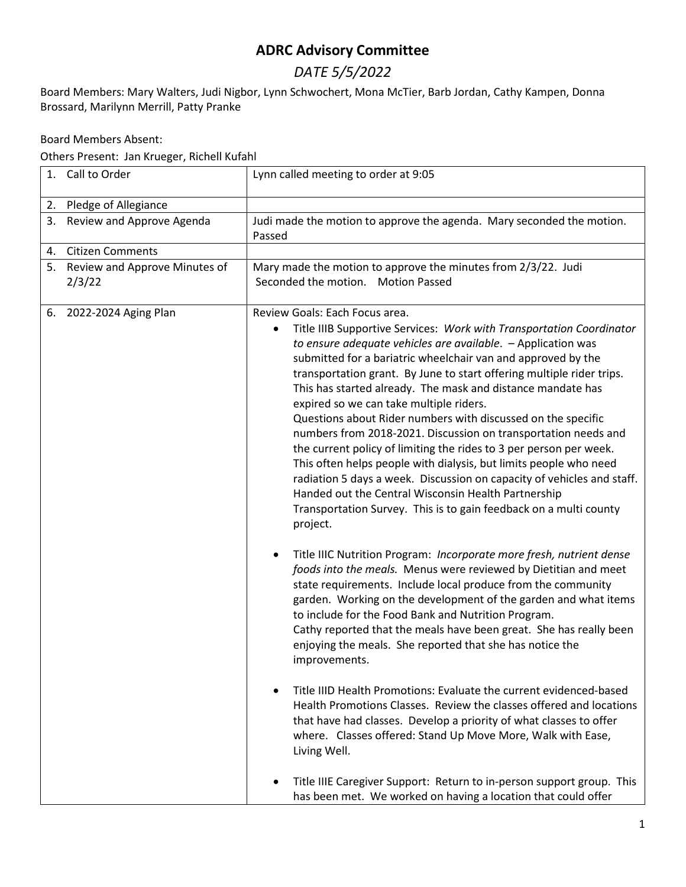## **ADRC Advisory Committee**

## *DATE 5/5/2022*

Board Members: Mary Walters, Judi Nigbor, Lynn Schwochert, Mona McTier, Barb Jordan, Cathy Kampen, Donna Brossard, Marilynn Merrill, Patty Pranke

Board Members Absent:

Others Present: Jan Krueger, Richell Kufahl

| 1. | Call to Order                           | Lynn called meeting to order at 9:05                                                                                                                                                                                                                                                                                                                                                                                                                                                                                                                                                                                                                                                                                                                                                                                                                                                                                          |
|----|-----------------------------------------|-------------------------------------------------------------------------------------------------------------------------------------------------------------------------------------------------------------------------------------------------------------------------------------------------------------------------------------------------------------------------------------------------------------------------------------------------------------------------------------------------------------------------------------------------------------------------------------------------------------------------------------------------------------------------------------------------------------------------------------------------------------------------------------------------------------------------------------------------------------------------------------------------------------------------------|
|    |                                         |                                                                                                                                                                                                                                                                                                                                                                                                                                                                                                                                                                                                                                                                                                                                                                                                                                                                                                                               |
| 2. | Pledge of Allegiance                    |                                                                                                                                                                                                                                                                                                                                                                                                                                                                                                                                                                                                                                                                                                                                                                                                                                                                                                                               |
| 3. | Review and Approve Agenda               | Judi made the motion to approve the agenda. Mary seconded the motion.<br>Passed                                                                                                                                                                                                                                                                                                                                                                                                                                                                                                                                                                                                                                                                                                                                                                                                                                               |
| 4. | <b>Citizen Comments</b>                 |                                                                                                                                                                                                                                                                                                                                                                                                                                                                                                                                                                                                                                                                                                                                                                                                                                                                                                                               |
| 5. | Review and Approve Minutes of<br>2/3/22 | Mary made the motion to approve the minutes from 2/3/22. Judi<br>Seconded the motion. Motion Passed                                                                                                                                                                                                                                                                                                                                                                                                                                                                                                                                                                                                                                                                                                                                                                                                                           |
| 6. | 2022-2024 Aging Plan                    | Review Goals: Each Focus area.<br>Title IIIB Supportive Services: Work with Transportation Coordinator<br>٠<br>to ensure adequate vehicles are available. - Application was<br>submitted for a bariatric wheelchair van and approved by the<br>transportation grant. By June to start offering multiple rider trips.<br>This has started already. The mask and distance mandate has<br>expired so we can take multiple riders.<br>Questions about Rider numbers with discussed on the specific<br>numbers from 2018-2021. Discussion on transportation needs and<br>the current policy of limiting the rides to 3 per person per week.<br>This often helps people with dialysis, but limits people who need<br>radiation 5 days a week. Discussion on capacity of vehicles and staff.<br>Handed out the Central Wisconsin Health Partnership<br>Transportation Survey. This is to gain feedback on a multi county<br>project. |
|    |                                         | Title IIIC Nutrition Program: Incorporate more fresh, nutrient dense<br>foods into the meals. Menus were reviewed by Dietitian and meet<br>state requirements. Include local produce from the community<br>garden. Working on the development of the garden and what items<br>to include for the Food Bank and Nutrition Program.<br>Cathy reported that the meals have been great. She has really been<br>enjoying the meals. She reported that she has notice the<br>improvements.<br>Title IIID Health Promotions: Evaluate the current evidenced-based<br>Health Promotions Classes. Review the classes offered and locations<br>that have had classes. Develop a priority of what classes to offer<br>where. Classes offered: Stand Up Move More, Walk with Ease,<br>Living Well.                                                                                                                                        |
|    |                                         | Title IIIE Caregiver Support: Return to in-person support group. This<br>has been met. We worked on having a location that could offer                                                                                                                                                                                                                                                                                                                                                                                                                                                                                                                                                                                                                                                                                                                                                                                        |